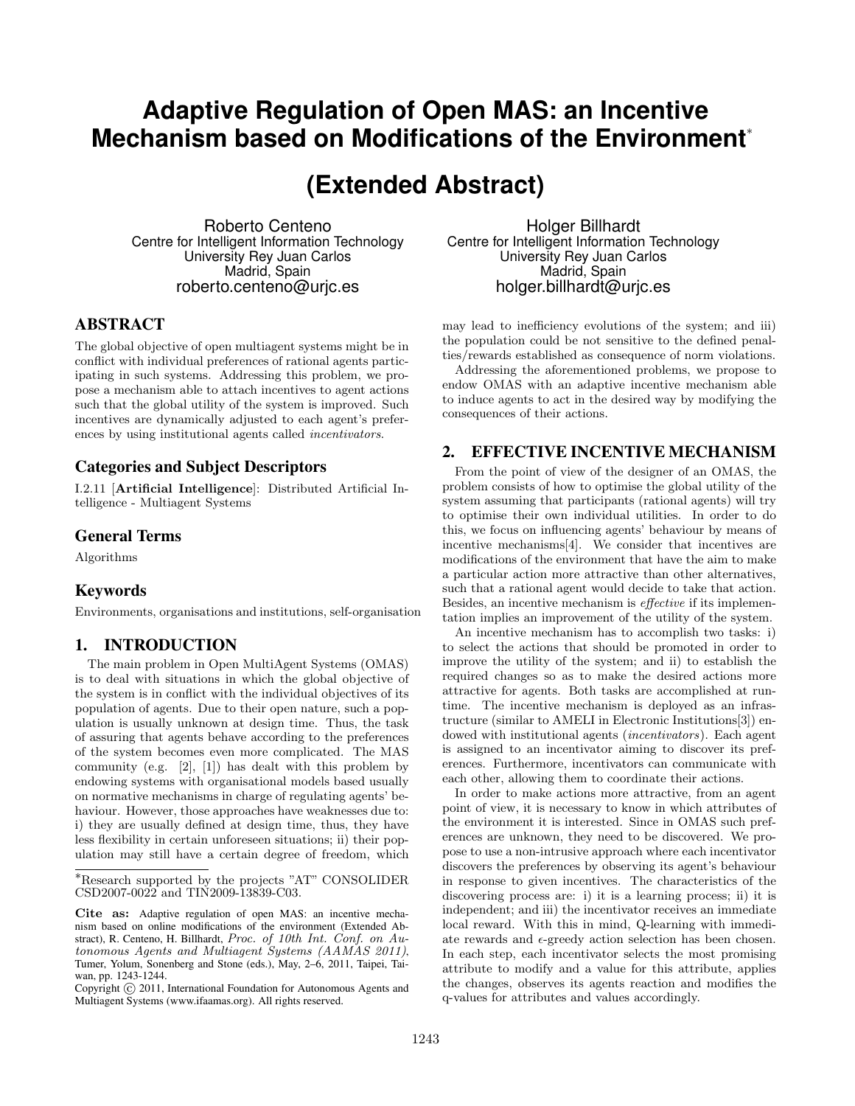## **Adaptive Regulation of Open MAS: an Incentive Mechanism based on Modifications of the Environment**<sup>∗</sup>

# **(Extended Abstract)**

Roberto Centeno Centre for Intelligent Information Technology University Rey Juan Carlos Madrid, Spain roberto.centeno@urjc.es

#### ABSTRACT

The global objective of open multiagent systems might be in conflict with individual preferences of rational agents participating in such systems. Addressing this problem, we propose a mechanism able to attach incentives to agent actions such that the global utility of the system is improved. Such incentives are dynamically adjusted to each agent's preferences by using institutional agents called incentivators.

#### Categories and Subject Descriptors

I.2.11 [Artificial Intelligence]: Distributed Artificial Intelligence - Multiagent Systems

#### General Terms

Algorithms

#### Keywords

Environments, organisations and institutions, self-organisation

### 1. INTRODUCTION

The main problem in Open MultiAgent Systems (OMAS) is to deal with situations in which the global objective of the system is in conflict with the individual objectives of its population of agents. Due to their open nature, such a population is usually unknown at design time. Thus, the task of assuring that agents behave according to the preferences of the system becomes even more complicated. The MAS community (e.g.  $[2]$ ,  $[1]$ ) has dealt with this problem by endowing systems with organisational models based usually on normative mechanisms in charge of regulating agents' behaviour. However, those approaches have weaknesses due to: i) they are usually defined at design time, thus, they have less flexibility in certain unforeseen situations; ii) their population may still have a certain degree of freedom, which

Holger Billhardt Centre for Intelligent Information Technology University Rey Juan Carlos Madrid, Spain holger.billhardt@urjc.es

may lead to inefficiency evolutions of the system; and iii) the population could be not sensitive to the defined penalties/rewards established as consequence of norm violations.

Addressing the aforementioned problems, we propose to endow OMAS with an adaptive incentive mechanism able to induce agents to act in the desired way by modifying the consequences of their actions.

#### 2. EFFECTIVE INCENTIVE MECHANISM

From the point of view of the designer of an OMAS, the problem consists of how to optimise the global utility of the system assuming that participants (rational agents) will try to optimise their own individual utilities. In order to do this, we focus on influencing agents' behaviour by means of incentive mechanisms[4]. We consider that incentives are modifications of the environment that have the aim to make a particular action more attractive than other alternatives, such that a rational agent would decide to take that action. Besides, an incentive mechanism is effective if its implementation implies an improvement of the utility of the system.

An incentive mechanism has to accomplish two tasks: i) to select the actions that should be promoted in order to improve the utility of the system; and ii) to establish the required changes so as to make the desired actions more attractive for agents. Both tasks are accomplished at runtime. The incentive mechanism is deployed as an infrastructure (similar to AMELI in Electronic Institutions[3]) endowed with institutional agents (incentivators). Each agent is assigned to an incentivator aiming to discover its preferences. Furthermore, incentivators can communicate with each other, allowing them to coordinate their actions.

In order to make actions more attractive, from an agent point of view, it is necessary to know in which attributes of the environment it is interested. Since in OMAS such preferences are unknown, they need to be discovered. We propose to use a non-intrusive approach where each incentivator discovers the preferences by observing its agent's behaviour in response to given incentives. The characteristics of the discovering process are: i) it is a learning process; ii) it is independent; and iii) the incentivator receives an immediate local reward. With this in mind, Q-learning with immediate rewards and  $\epsilon$ -greedy action selection has been chosen. In each step, each incentivator selects the most promising attribute to modify and a value for this attribute, applies the changes, observes its agents reaction and modifies the q-values for attributes and values accordingly.

<sup>∗</sup>Research supported by the projects "AT" CONSOLIDER CSD2007-0022 and TIN2009-13839-C03.

Cite as: Adaptive regulation of open MAS: an incentive mechanism based on online modifications of the environment (Extended Abstract), R. Centeno, H. Billhardt, Proc. of 10th Int. Conf. on Autonomous Agents and Multiagent Systems (AAMAS 2011), Tumer, Yolum, Sonenberg and Stone (eds.), May, 2–6, 2011, Taipei, Taiwan, pp. 1243-1244.

Copyright (C) 2011, International Foundation for Autonomous Agents and Multiagent Systems (www.ifaamas.org). All rights reserved.